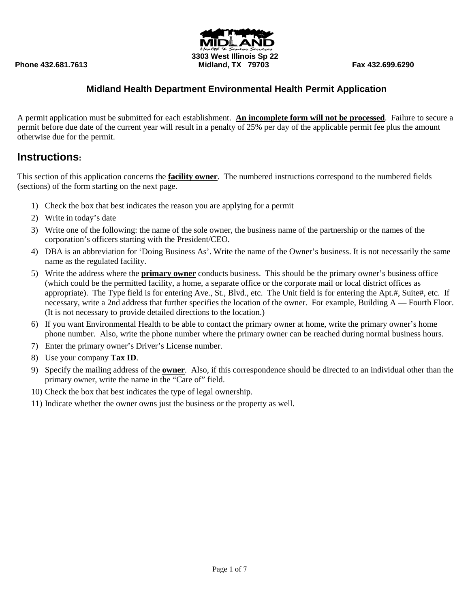**3303 West Illinois Sp 22 Phone 432.681.7613 Midland, TX 79703 Fax 432.699.6290**

# **Midland Health Department Environmental Health Permit Application**

A permit application must be submitted for each establishment. **An incomplete form will not be processed**. Failure to secure a permit before due date of the current year will result in a penalty of 25% per day of the applicable permit fee plus the amount otherwise due for the permit.

# **Instructions:**

This section of this application concerns the **facility owner**. The numbered instructions correspond to the numbered fields (sections) of the form starting on the next page.

- 1) Check the box that best indicates the reason you are applying for a permit
- 2) Write in today's date
- 3) Write one of the following: the name of the sole owner, the business name of the partnership or the names of the corporation's officers starting with the President/CEO.
- 4) DBA is an abbreviation for 'Doing Business As'. Write the name of the Owner's business. It is not necessarily the same name as the regulated facility.
- 5) Write the address where the **primary owner** conducts business. This should be the primary owner's business office (which could be the permitted facility, a home, a separate office or the corporate mail or local district offices as appropriate). The Type field is for entering Ave., St., Blvd., etc. The Unit field is for entering the Apt.#, Suite#, etc. If necessary, write a 2nd address that further specifies the location of the owner. For example, Building A — Fourth Floor. (It is not necessary to provide detailed directions to the location.)
- 6) If you want Environmental Health to be able to contact the primary owner at home, write the primary owner's home phone number. Also, write the phone number where the primary owner can be reached during normal business hours.
- 7) Enter the primary owner's Driver's License number.
- 8) Use your company **Tax ID**.
- 9) Specify the mailing address of the **owner**. Also, if this correspondence should be directed to an individual other than the primary owner, write the name in the "Care of" field.
- 10) Check the box that best indicates the type of legal ownership.
- 11) Indicate whether the owner owns just the business or the property as well.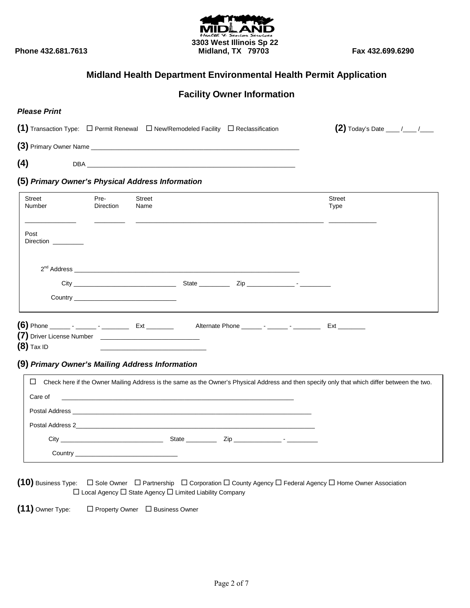

# **Facility Owner Information**

| <b>Please Print</b>                                                                               |                          |                                                                                           |                                                                                                                                                                                                             |                                       |  |
|---------------------------------------------------------------------------------------------------|--------------------------|-------------------------------------------------------------------------------------------|-------------------------------------------------------------------------------------------------------------------------------------------------------------------------------------------------------------|---------------------------------------|--|
| (1) Transaction Type: $\Box$ Permit Renewal $\Box$ New/Remodeled Facility $\Box$ Reclassification |                          |                                                                                           |                                                                                                                                                                                                             | (2) Today's Date $\frac{1}{\sqrt{2}}$ |  |
|                                                                                                   |                          |                                                                                           |                                                                                                                                                                                                             |                                       |  |
| (4)                                                                                               |                          |                                                                                           |                                                                                                                                                                                                             |                                       |  |
| (5) Primary Owner's Physical Address Information                                                  |                          |                                                                                           |                                                                                                                                                                                                             |                                       |  |
| Street<br>Number                                                                                  | Pre-<br><b>Direction</b> | <b>Street</b><br>Name                                                                     |                                                                                                                                                                                                             | <b>Street</b><br>Type                 |  |
| Post<br>Direction                                                                                 |                          |                                                                                           |                                                                                                                                                                                                             |                                       |  |
|                                                                                                   |                          |                                                                                           |                                                                                                                                                                                                             |                                       |  |
|                                                                                                   |                          |                                                                                           |                                                                                                                                                                                                             |                                       |  |
| $(8)$ Tax ID                                                                                      |                          | the control of the control of the control of the control of the control of the control of |                                                                                                                                                                                                             |                                       |  |
| (9) Primary Owner's Mailing Address Information                                                   |                          |                                                                                           |                                                                                                                                                                                                             |                                       |  |
| ⊔<br>Care of                                                                                      |                          |                                                                                           | Check here if the Owner Mailing Address is the same as the Owner's Physical Address and then specify only that which differ between the two.<br><u> 1989 - Johann Stoff, amerikansk politiker (d. 1989)</u> |                                       |  |
| Postal Address 2                                                                                  |                          |                                                                                           |                                                                                                                                                                                                             |                                       |  |

 City \_\_\_\_\_\_\_\_\_\_\_\_\_\_\_\_\_\_\_\_\_\_\_\_\_\_\_\_\_\_ State \_\_\_\_\_\_\_\_\_ Zip \_\_\_\_\_\_\_\_\_\_\_\_\_\_ - \_\_\_\_\_\_\_\_\_ Country \_\_\_\_\_

**(10)** Business Type: □ Sole Owner □ Partnership □ Corporation □ County Agency □ Federal Agency □ Home Owner Association  $\square$  Local Agency  $\square$  State Agency  $\square$  Limited Liability Company

**(11)** Owner Type: □ Property Owner □ Business Owner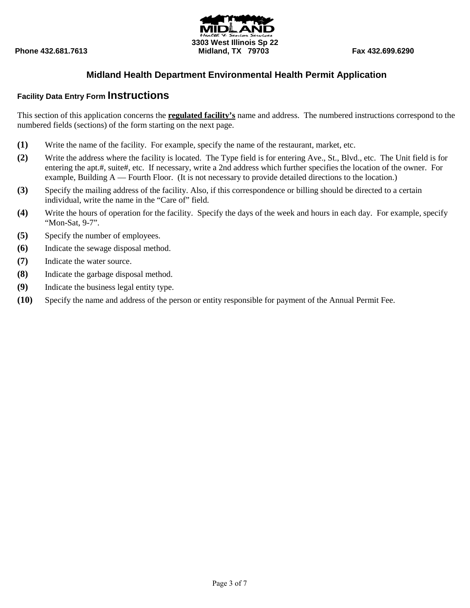

### **Facility Data Entry Form Instructions**

This section of this application concerns the **regulated facility's** name and address. The numbered instructions correspond to the numbered fields (sections) of the form starting on the next page.

- **(1)** Write the name of the facility. For example, specify the name of the restaurant, market, etc.
- **(2)** Write the address where the facility is located. The Type field is for entering Ave., St., Blvd., etc. The Unit field is for entering the apt.#, suite#, etc. If necessary, write a 2nd address which further specifies the location of the owner. For example, Building A — Fourth Floor. (It is not necessary to provide detailed directions to the location.)
- **(3)** Specify the mailing address of the facility. Also, if this correspondence or billing should be directed to a certain individual, write the name in the "Care of" field.
- **(4)** Write the hours of operation for the facility. Specify the days of the week and hours in each day. For example, specify "Mon-Sat, 9-7".
- **(5)** Specify the number of employees.
- **(6)** Indicate the sewage disposal method.
- **(7)** Indicate the water source.
- **(8)** Indicate the garbage disposal method.
- **(9)** Indicate the business legal entity type.
- **(10)** Specify the name and address of the person or entity responsible for payment of the Annual Permit Fee.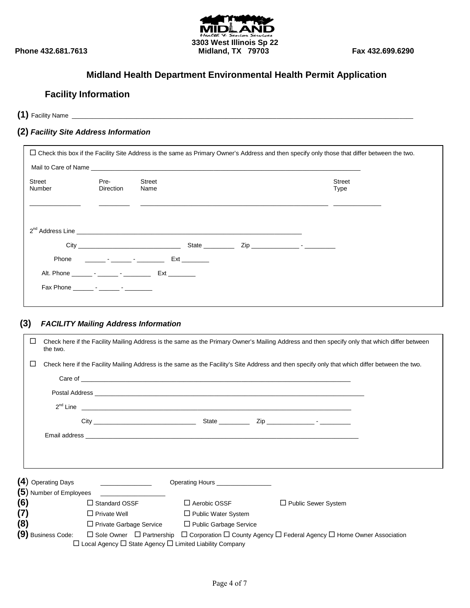

# **Facility Information**

**(1)** Facility Name \_\_\_\_\_\_\_\_\_\_\_\_\_\_\_\_\_\_\_\_\_\_\_\_\_\_\_\_\_\_\_\_\_\_\_\_\_\_\_\_\_\_\_\_\_\_\_\_\_\_\_\_\_\_\_\_\_\_\_\_\_\_\_\_\_\_\_\_\_\_\_\_\_\_\_\_\_\_\_\_\_\_\_\_\_\_\_\_\_\_\_\_\_\_\_\_\_\_\_\_

### **(2)** *Facility Site Address Information*

| □ Check this box if the Facility Site Address is the same as Primary Owner's Address and then specify only those that differ between the two. |                                                                                                                                                                                                                                |                                       |                       |  |
|-----------------------------------------------------------------------------------------------------------------------------------------------|--------------------------------------------------------------------------------------------------------------------------------------------------------------------------------------------------------------------------------|---------------------------------------|-----------------------|--|
|                                                                                                                                               |                                                                                                                                                                                                                                |                                       |                       |  |
| Street<br>Number                                                                                                                              | Pre-<br>Direction                                                                                                                                                                                                              | Street<br>Name                        | <b>Street</b><br>Type |  |
|                                                                                                                                               |                                                                                                                                                                                                                                | $2^{nd}$ Address Line $\qquad \qquad$ |                       |  |
|                                                                                                                                               |                                                                                                                                                                                                                                | $\mathsf{Zip}$ $\qquad \qquad$        |                       |  |
|                                                                                                                                               | Phone that the contract of the contract of the contract of the contract of the contract of the contract of the contract of the contract of the contract of the contract of the contract of the contract of the contract of the |                                       |                       |  |
|                                                                                                                                               |                                                                                                                                                                                                                                | Alt. Phone <b>Alt.</b> Phone          |                       |  |
|                                                                                                                                               |                                                                                                                                                                                                                                |                                       |                       |  |

#### **(3)** *FACILITY Mailing Address Information*

| $\Box$ | the two.           |                                                                                                                                           |                                                              | Check here if the Facility Mailing Address is the same as the Primary Owner's Mailing Address and then specify only that which differ between  |  |
|--------|--------------------|-------------------------------------------------------------------------------------------------------------------------------------------|--------------------------------------------------------------|------------------------------------------------------------------------------------------------------------------------------------------------|--|
| □      |                    |                                                                                                                                           |                                                              | Check here if the Facility Mailing Address is the same as the Facility's Site Address and then specify only that which differ between the two. |  |
|        |                    |                                                                                                                                           |                                                              |                                                                                                                                                |  |
|        |                    |                                                                                                                                           |                                                              |                                                                                                                                                |  |
|        |                    |                                                                                                                                           | $2^{nd}$ Line $\overline{\phantom{a}}$                       |                                                                                                                                                |  |
|        |                    |                                                                                                                                           |                                                              |                                                                                                                                                |  |
|        |                    |                                                                                                                                           |                                                              |                                                                                                                                                |  |
|        |                    |                                                                                                                                           |                                                              |                                                                                                                                                |  |
|        |                    |                                                                                                                                           |                                                              |                                                                                                                                                |  |
|        | (4) Operating Days | the control of the control of the control of                                                                                              | Operating Hours __________________                           |                                                                                                                                                |  |
|        |                    |                                                                                                                                           |                                                              |                                                                                                                                                |  |
| (6)    |                    | $\Box$ Standard OSSF                                                                                                                      | $\Box$ Aerobic OSSF                                          | $\Box$ Public Sewer System                                                                                                                     |  |
| (7)    |                    | $\Box$ Private Well                                                                                                                       | □ Public Water System                                        |                                                                                                                                                |  |
| (8)    |                    |                                                                                                                                           | $\Box$ Private Garbage Service $\Box$ Public Garbage Service |                                                                                                                                                |  |
|        |                    | (9) Business Code: $\square$ Sole Owner $\square$ Partnership<br>$\Box$ Local Agency $\Box$ State Agency $\Box$ Limited Liability Company |                                                              | $\Box$ Corporation $\Box$ County Agency $\Box$ Federal Agency $\Box$ Home Owner Association                                                    |  |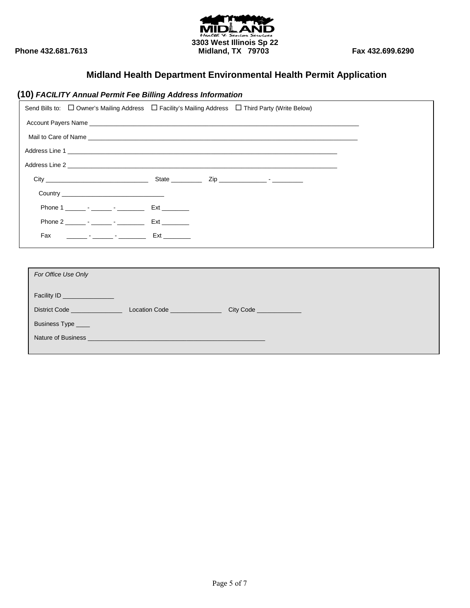![](_page_4_Picture_0.jpeg)

# **(10)** *FACILITY Annual Permit Fee Billing Address Information*

|                              | Send Bills to: □ Owner's Mailing Address □ Facility's Mailing Address □ Third Party (Write Below)            |
|------------------------------|--------------------------------------------------------------------------------------------------------------|
|                              |                                                                                                              |
|                              | Mail to Care of Name <b>contract to the contract of the contract of the contract of the contract of Name</b> |
|                              |                                                                                                              |
|                              |                                                                                                              |
|                              |                                                                                                              |
|                              |                                                                                                              |
|                              |                                                                                                              |
|                              |                                                                                                              |
|                              |                                                                                                              |
|                              |                                                                                                              |
| For Office Use Only          |                                                                                                              |
|                              |                                                                                                              |
| Facility ID ________________ |                                                                                                              |
|                              |                                                                                                              |
| Business Type _____          |                                                                                                              |

Nature of Business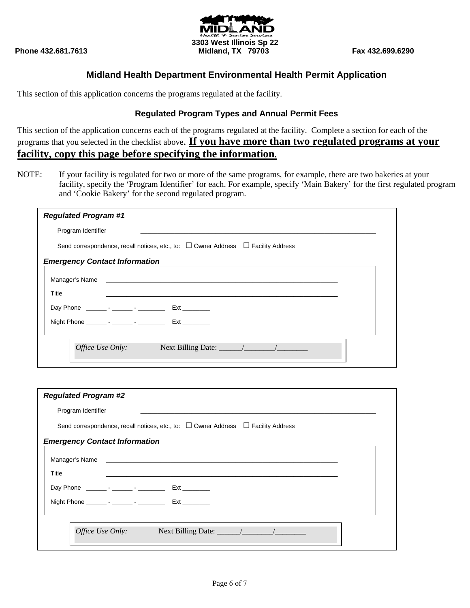![](_page_5_Picture_1.jpeg)

This section of this application concerns the programs regulated at the facility.

#### **Regulated Program Types and Annual Permit Fees**

This section of the application concerns each of the programs regulated at the facility. Complete a section for each of the programs that you selected in the checklist above. **If you have more than two regulated programs at your facility, copy this page before specifying the information.**

NOTE: If your facility is regulated for two or more of the same programs, for example, there are two bakeries at your facility, specify the 'Program Identifier' for each. For example, specify 'Main Bakery' for the first regulated program and 'Cookie Bakery' for the second regulated program.

| <b>Regulated Program #1</b>                                                                                                                                                                                                    |  |  |  |
|--------------------------------------------------------------------------------------------------------------------------------------------------------------------------------------------------------------------------------|--|--|--|
| Program Identifier                                                                                                                                                                                                             |  |  |  |
| Send correspondence, recall notices, etc., to: $\Box$ Owner Address $\Box$ Facility Address                                                                                                                                    |  |  |  |
| <b>Emergency Contact Information</b>                                                                                                                                                                                           |  |  |  |
| Manager's Name and the contract of the contract of the contract of the contract of the contract of the contract of the contract of the contract of the contract of the contract of the contract of the contract of the contrac |  |  |  |
| Title                                                                                                                                                                                                                          |  |  |  |
|                                                                                                                                                                                                                                |  |  |  |
|                                                                                                                                                                                                                                |  |  |  |
|                                                                                                                                                                                                                                |  |  |  |
| Office Use Only:                                                                                                                                                                                                               |  |  |  |
|                                                                                                                                                                                                                                |  |  |  |

| <b>Regulated Program #2</b>                                                                                                                                                                                                    |  |  |  |
|--------------------------------------------------------------------------------------------------------------------------------------------------------------------------------------------------------------------------------|--|--|--|
| Program Identifier                                                                                                                                                                                                             |  |  |  |
| Send correspondence, recall notices, etc., to: $\Box$ Owner Address $\Box$ Facility Address                                                                                                                                    |  |  |  |
| <b>Emergency Contact Information</b>                                                                                                                                                                                           |  |  |  |
| Manager's Name and the contract of the contract of the contract of the contract of the contract of the contract of the contract of the contract of the contract of the contract of the contract of the contract of the contrac |  |  |  |
| Title                                                                                                                                                                                                                          |  |  |  |
|                                                                                                                                                                                                                                |  |  |  |
| Night Phone _________ - _______ - ___________ Ext _________                                                                                                                                                                    |  |  |  |
|                                                                                                                                                                                                                                |  |  |  |
| Office Use Only:<br>Next Billing Date: $\frac{1}{\sqrt{1-\frac{1}{2}}}\left  \frac{1}{\sqrt{1-\frac{1}{2}}}\right $                                                                                                            |  |  |  |
|                                                                                                                                                                                                                                |  |  |  |